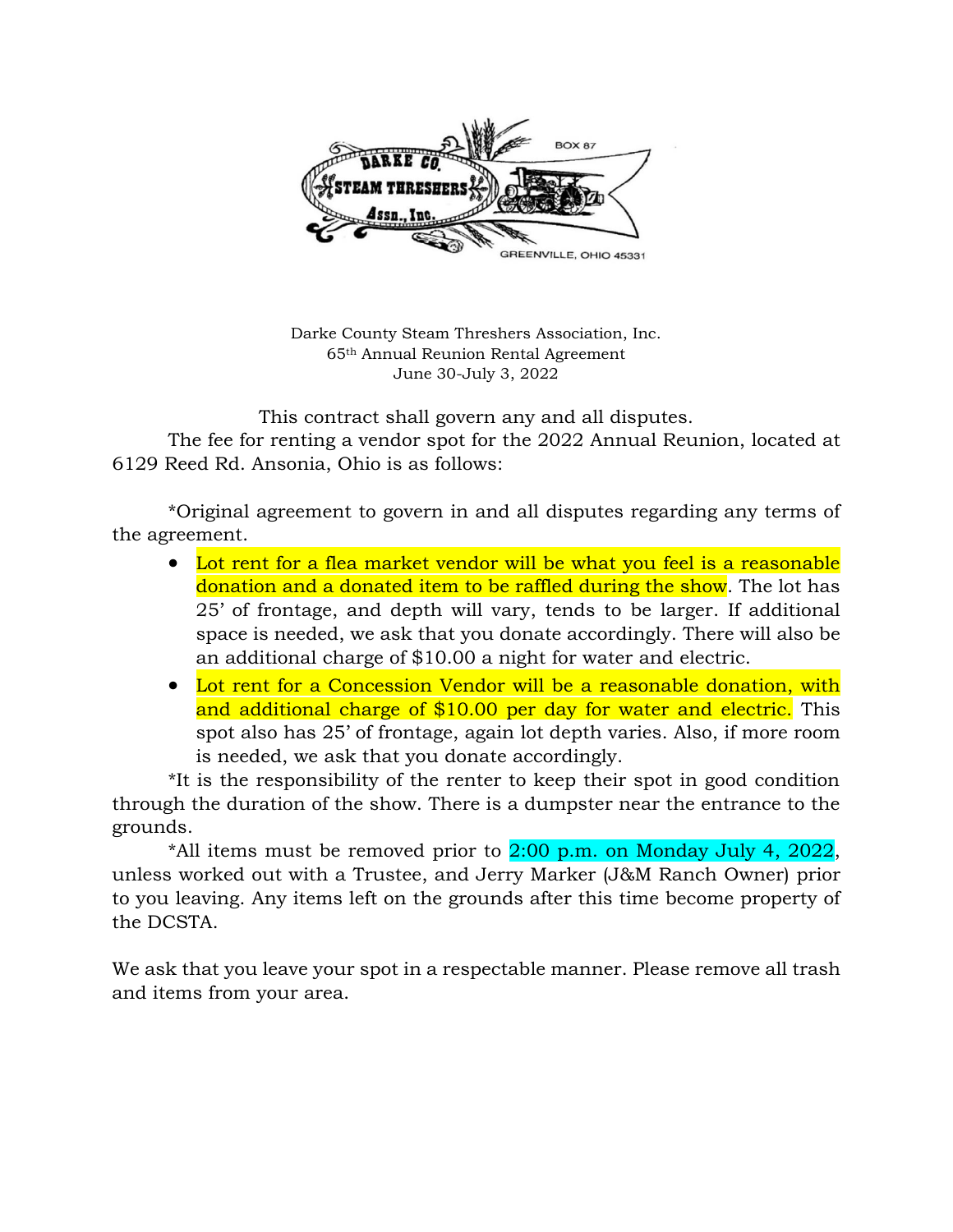

Darke County Steam Threshers Association, Inc. 65th Annual Reunion Rental Agreement June 30-July 3, 2022

This contract shall govern any and all disputes.

The fee for renting a vendor spot for the 2022 Annual Reunion, located at 6129 Reed Rd. Ansonia, Ohio is as follows:

\*Original agreement to govern in and all disputes regarding any terms of the agreement.

- Lot rent for a flea market vendor will be what you feel is a reasonable donation and a donated item to be raffled during the show. The lot has 25' of frontage, and depth will vary, tends to be larger. If additional space is needed, we ask that you donate accordingly. There will also be an additional charge of \$10.00 a night for water and electric.
- Lot rent for a Concession Vendor will be a reasonable donation, with and additional charge of \$10.00 per day for water and electric. This spot also has 25' of frontage, again lot depth varies. Also, if more room is needed, we ask that you donate accordingly.

\*It is the responsibility of the renter to keep their spot in good condition through the duration of the show. There is a dumpster near the entrance to the grounds.

\*All items must be removed prior to  $2:00$  p.m. on Monday July 4, 2022, unless worked out with a Trustee, and Jerry Marker (J&M Ranch Owner) prior to you leaving. Any items left on the grounds after this time become property of the DCSTA.

We ask that you leave your spot in a respectable manner. Please remove all trash and items from your area.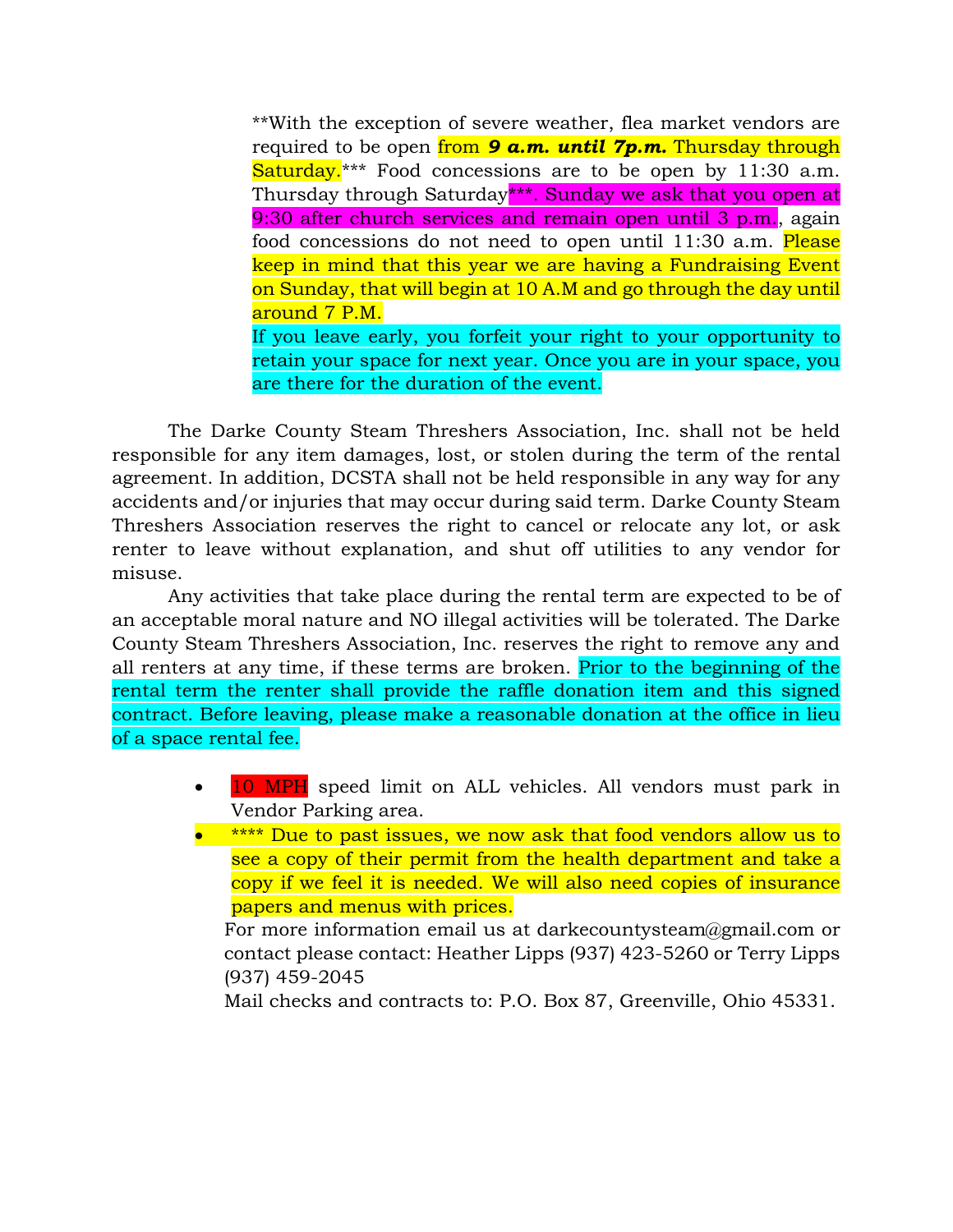\*\*With the exception of severe weather, flea market vendors are required to be open from *9 a.m. until 7p.m.* Thursday through Saturday.<sup>\*\*\*</sup> Food concessions are to be open by 11:30 a.m. Thursday through Saturday\*\*\*. Sunday we ask that you open at 9:30 after church services and remain open until 3 p.m., again food concessions do not need to open until 11:30 a.m. Please keep in mind that this year we are having a Fundraising Event on Sunday, that will begin at 10 A.M and go through the day until around 7 P.M. If you leave early, you forfeit your right to your opportunity to retain your space for next year. Once you are in your space, you are there for the duration of the event.

The Darke County Steam Threshers Association, Inc. shall not be held responsible for any item damages, lost, or stolen during the term of the rental agreement. In addition, DCSTA shall not be held responsible in any way for any accidents and/or injuries that may occur during said term. Darke County Steam Threshers Association reserves the right to cancel or relocate any lot, or ask renter to leave without explanation, and shut off utilities to any vendor for misuse.

Any activities that take place during the rental term are expected to be of an acceptable moral nature and NO illegal activities will be tolerated. The Darke County Steam Threshers Association, Inc. reserves the right to remove any and all renters at any time, if these terms are broken. Prior to the beginning of the rental term the renter shall provide the raffle donation item and this signed contract. Before leaving, please make a reasonable donation at the office in lieu of a space rental fee.

- 10 MPH speed limit on ALL vehicles. All vendors must park in Vendor Parking area.
- \*\*\*\* Due to past issues, we now ask that food vendors allow us to see a copy of their permit from the health department and take a copy if we feel it is needed. We will also need copies of insurance papers and menus with prices.

For more information email us at darkecountysteam@gmail.com or contact please contact: Heather Lipps (937) 423-5260 or Terry Lipps (937) 459-2045

Mail checks and contracts to: P.O. Box 87, Greenville, Ohio 45331.